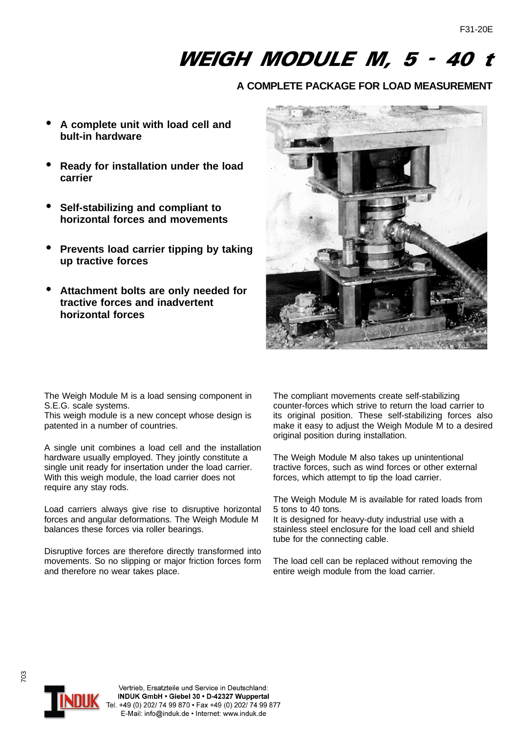## WEIGH MODULE M, 5 - 40 t

## **A COMPLETE PACKAGE FOR LOAD MEASUREMENT**

- **A complete unit with load cell and bult-in hardware**
- **Ready for installation under the load carrier**
- **Self-stabilizing and compliant to horizontal forces and movements**
- **Prevents load carrier tipping by taking up tractive forces**
- **Attachment bolts are only needed for tractive forces and inadvertent horizontal forces**



The Weigh Module M is a load sensing component in S.E.G. scale systems.

This weigh module is a new concept whose design is patented in a number of countries.

A single unit combines a load cell and the installation hardware usually employed. They jointly constitute a single unit ready for insertation under the load carrier. With this weigh module, the load carrier does not require any stay rods.

Load carriers always give rise to disruptive horizontal forces and angular deformations. The Weigh Module M balances these forces via roller bearings.

Disruptive forces are therefore directly transformed into movements. So no slipping or major friction forces form and therefore no wear takes place.

The compliant movements create self-stabilizing counter-forces which strive to return the load carrier to its original position. These self-stabilizing forces also make it easy to adjust the Weigh Module M to a desired original position during installation.

The Weigh Module M also takes up unintentional tractive forces, such as wind forces or other external forces, which attempt to tip the load carrier.

The Weigh Module M is available for rated loads from 5 tons to 40 tons.

It is designed for heavy-duty industrial use with a stainless steel enclosure for the load cell and shield tube for the connecting cable.

The load cell can be replaced without removing the entire weigh module from the load carrier.



703



Vertrieb, Ersatzteile und Service in Deutschland: INDUK GmbH · Giebel 30 · D-42327 Wuppertal Tel. +49 (0) 202/ 74 99 870 • Fax +49 (0) 202/ 74 99 877 E-Mail: info@induk.de . Internet: www.induk.de